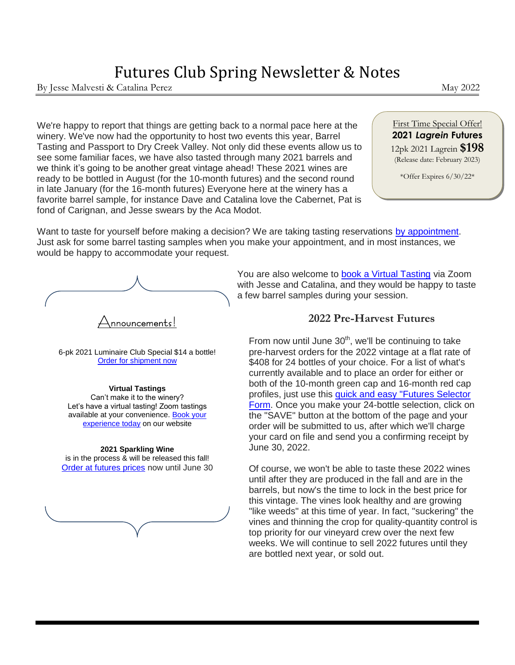# Futures Club Spring Newsletter & Notes

By Jesse Malvesti & Catalina Perez de a control de la control de la control de la control de la control de la control de la control de la control de la control de la control de la control de la control de la control de la

We're happy to report that things are getting back to a normal pace here at the winery. We've now had the opportunity to host two events this year, Barrel Tasting and Passport to Dry Creek Valley. Not only did these events allow us to see some familiar faces, we have also tasted through many 2021 barrels and we think it's going to be another great vintage ahead! These 2021 wines are ready to be bottled in August (for the 10-month futures) and the second round in late January (for the 16-month futures) Everyone here at the winery has a favorite barrel sample, for instance Dave and Catalina love the Cabernet, Pat is fond of Carignan, and Jesse swears by the Aca Modot.

#### First Time Special Offer! **2021** *Lagrein* **Futures** 12pk 2021 Lagrein **\$198** (Release date: February 2023)

\*Offer Expires 6/30/22\*

Want to taste for yourself before making a decision? We are taking tasting reservations [by appointment.](https://app.acuityscheduling.com/schedule.php?owner=19945354) Just ask for some barrel tasting samples when you make your appointment, and in most instances, we would be happy to accommodate your request.

 $\bigtriangleup$ nnouncemen $\mathsf{ts}!$ 

6-pk 2021 Luminaire Club Special \$14 a bottle! [Order for shipment now](https://david-coffaro-winery.myshopify.com/products/2021-luminaire-6-pk-special?variant=39866889011299)

#### **Virtual Tastings**

Can't make it to the winery? Let's have a virtual tasting! Zoom tastings available at your convenience. [Book your](https://david-coffaro-winery.myshopify.com/pages/virtual-wine-tasting)  [experience today](https://david-coffaro-winery.myshopify.com/pages/virtual-wine-tasting) on our website

#### **2021 Sparkling Wine**

is in the process & will be released this fall! [Order at futures prices](https://david-coffaro-winery.myshopify.com/products/sparkling-pinot-zin-blend?variant=39781266325603) now until June 30

You are also welcome to [book a Virtual Tasting](https://david-coffaro-winery.myshopify.com/pages/virtual-wine-tasting) via Zoom with Jesse and Catalina, and they would be happy to taste a few barrel samples during your session.

### **2022 Pre-Harvest Futures**

*The fruit is very important because*  your card on file and send you a confirming receipt by From now until June  $30<sup>th</sup>$ , we'll be continuing to take pre-harvest orders for the 2022 vintage at a flat rate of \$408 for 24 bottles of your choice. For a list of what's currently available and to place an order for either or both of the 10-month green cap and 16-month red cap profiles, just use this [quick and easy "Futures Selector](https://david-coffaro-winery.myshopify.com/pages/futures-club-selector/)  [Form.](https://david-coffaro-winery.myshopify.com/pages/futures-club-selector/) Once you make your 24-bottle selection, click on the "SAVE" button at the bottom of the page and your order will be submitted to us, after which we'll charge June 30, 2022.

*components come forward, diminishing the impact of the fruit*  Of course, we won't be able to taste these 2022 wines *and providing a softer mouthfeel*  barrels, but now's the time to lock in the best price for until after they are produced in the fall and are in the this vintage. The vines look healthy and are growing "like weeds" at this time of year. In fact, "suckering" the vines and thinning the crop for quality-quantity control is top priority for our vineyard crew over the next few weeks. We will continue to sell 2022 futures until they are bottled next year, or sold out.